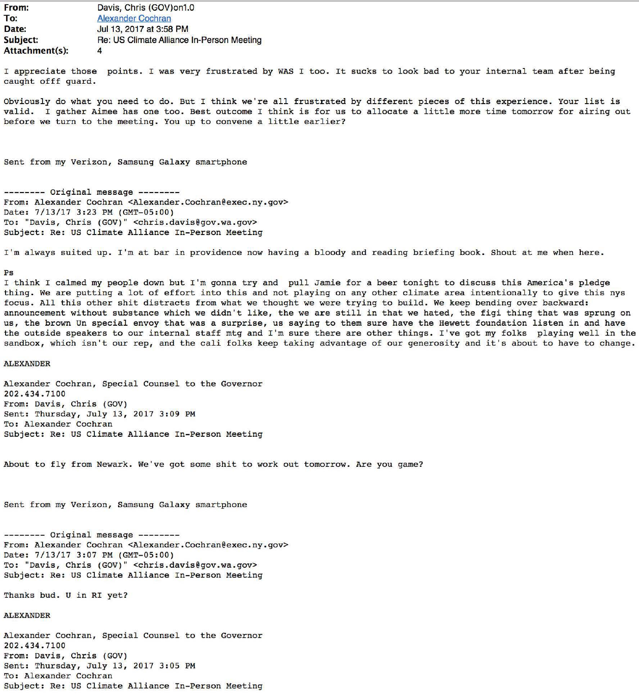**From: To: Date: Subject: Attach ment(s** ): Davis, Chris (GOV)on1.0 Alexander Cochran Jul 13, 2017 at 3:58 PM Re: US Climate Alliance In-Person Meeting 4

I appreciate those points. I was very frustrated by WAS I too. It sucks to look bad to your internal team after bein caught offf guard.

Obviously do what you need to do. But I think we're all frustrated by different pieces of this experience. Your list is valid. I gather Aimee has one too. Best outcome I think is for us to allocate a little more time tomorrow for airing out before we turn to the meeting. You up to convene a little earlier?

Sent from my Verizon, Samsung Galaxy smartphone

-------- Original message-------- From: Alexander Cochran <Alexander.Cochran@exec.ny.gov> Date: 7/13/17 3:23 PM (GMT-05:00) To: "Davis, Chris (GOV)" <chris.davis@gov.wa.gov> Subject: Re: US Climate Alliance In-Person Meeting

I'm always suited up. I'm at bar in providence now having a bloody and reading briefing book. Shout at me when here.

## Ps

I think I calmed my people down but I'm gonna try and pull Jamie for a beer tonight to discuss this America's pledge thing. We are putting a lot of effort into this and not playing on any other climate area intentionally to give this nys focus. All this other shit distracts from what we thought we were trying to build. We keep bending over backward: announcement without substance which we didn't like, the we are still in that we hated, the figi thing that was sprung on us, the brown Un special envoy that was a surprise, us saying to them sure have the Hewett foundation listen in and have the outside speakers to our internal staff mtg and I'm sure there are other things. I've got my folks playing well in the sandbox, which isn't our rep, and the cali folks keep taking advantage of our generosity and it's about to have to change.

## **ALEXANDER**

Alexander Cochran, Special Counsel to the Governor 202.434.7100 From: Davis, Chris (GOV) Sent: Thursday, July 13, 2017 3:09 PM To: Alexander Cochran Subject: Re: US Climate Alliance In-Person Meeting

About to fly from Newark. We've got some shit to work out tomorrow. Are you game?

Sent from my Verizon, Samsung Galaxy smartphone

-------- Original message-------- From: Alexander Cochran <Alexander.Cochran@exec.ny.gov> Date: 7/13/17 3:07 PM (GMT-05:00) To: "Davis, Chris (GOV)" <chris.davis@gov.wa.gov> Subject: Re: US Climate Alliance In-Person Meeting

Thanks bud. U in RI yet?

## **ALEXANDER**

Alexander Cochran, Special Counsel to the Governor 202.434.7100 From: Davis, Chris (GOV) Sent: Thursday, July 13, 2017 3:05 PM To: Alexander Cochran Subject: Re: US Climate Alliance In-Person Meeting